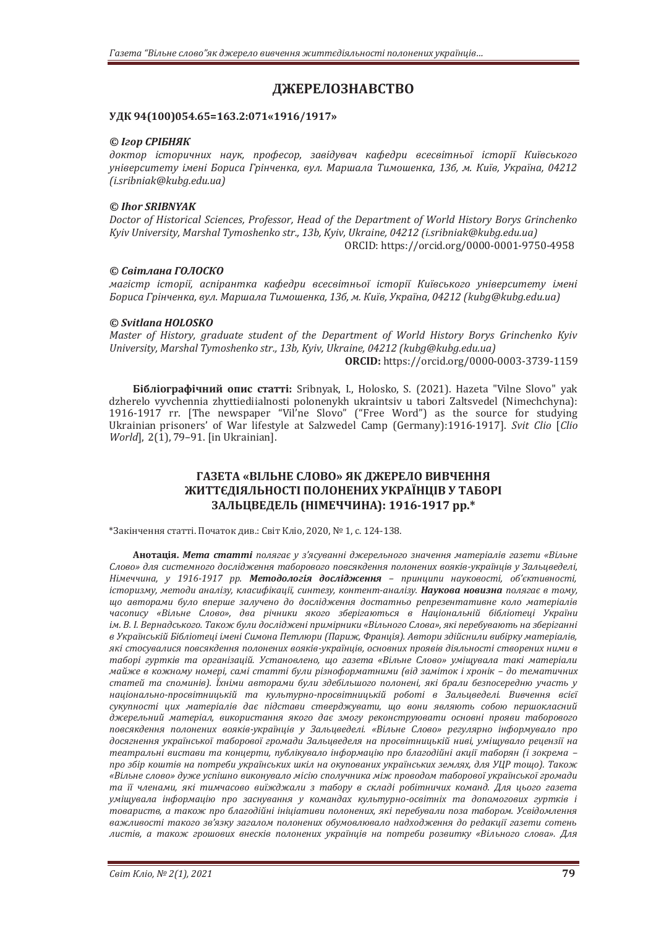# **ДЖЕРЕЛОЗНАВСТВО**

#### **УДК 94(100)054.65=163.2:071«1916/1917»**

#### *© Ігор СРІБНЯК*

*доктор історичних наук, професор, завідувач кафедри всесвітньої історії Київського університету імені Бориса Грінченка, вул. Маршала Тимошенка, 13б, м. Київ, Україна, 04212 (i.sribniak@kubg.edu.ua)* 

### *© Ihor SRIBNYAK*

*Doctor of Historical Sciences, Professor, Head of the Department of World History Borys Grinchenko Kyiv University, Marshal Tymoshenko str., 13b, Kyiv, Ukraine, 04212 (i.sribniak@kubg.edu.ua)*  ORCID: https://orcid.org/0000-0001-9750-4958

#### *© Світлана ГОЛОСКО*

*магістр історії, аспірантка кафедри всесвітньої історії Київського університету імені Бориса Грінченка, вул. Маршала Тимошенка, 13б, м. Київ, Україна, 04212 (kubg@kubg.edu.ua)* 

#### *© Svitlana HOLOSKO*

*Master of History, graduate student of the Department of World History Borys Grinchenko Kyiv University, Marshal Tymoshenko str., 13b, Kyiv, Ukraine, 04212 (kubg@kubg.edu.ua)* 

**ORCID:** https://orcid.org/0000-0003-3739-1159

**Бібліографічний опис статті:** Sribnyak, I., Holosko, S. (2021). Hazeta "Vilne Slovo" yak dzherelo vyvchennia zhyttiediialnosti polonenykh ukraintsiv u tabori Zaltsvedel (Nimechchyna): 1916-1917 rr. [The newspaper "Vil'ne Slovo" ("Free Word") as the source for studying Ukrainian prisoners' of War lifestyle at Salzwedel Camp (Germany):1916-1917]. *Svit Clio* [*Clio World*], 2(1), 79-91. [in Ukrainian].

### **ГАЗЕТА «ВІЛЬНЕ СЛОВО» ЯК ДЖЕРЕЛО ВИВЧЕННЯ ЖИТТЄДІЯЛЬНОСТІ ПОЛОНЕНИХ УКРАЇНЦІВ У ТАБОРІ ЗАЛЬЦВЕДЕЛЬ (НІМЕЧЧИНА): 1916-1917 рр.\***

\*Закінчення статті. Початок див.: Світ Кліо, 2020, № 1, с. 124-138.

**Анотація.** *Мета статті полягає у з'ясуванні джерельного значення матеріалів газети «Вільне Слово» для системного дослідження таборового повсякдення полонених вояків-українців у Зальцведелі, Німеччина, у 1916-1917 рр. Методологія дослідження – принципи науковості, об'єктивності,*  історизму, методи аналізу, класифікації, синтезу, контент-аналізу. Наукова новизна полягає в тому, *що авторами було вперше залучено до дослідження достатньо репрезентативне коло матеріалів часопису «Вільне Слово», два річники якого зберігаються в Національній бібліотеці України* ім. В. І. Вернадського. Також були досліджені примірники «Вільного Слова», які перебувають на зберіганні *в Українській Бібліотеці імені Симона Петлюри (Париж, Франція). Автори здійснили вибірку матеріалів, які стосувалися повсякдення полонених вояків-українців, основних проявів діяльності створених ними в таборі гуртків та організацій. Установлено, що газета «Вільне Слово» уміщувала такі матеріали майже в кожному номері, самі статті були різноформатними (від заміток і хронік – до тематичних статей та споминів). Їхніми авторами були здебільшого полонені, які брали безпосередню участь у національно-просвітницькій та культурно-просвітницькій роботі в Зальцведелі. Вивчення всієї сукупності цих матеріалів дає підстави стверджувати, що вони являють собою першокласний джерельний матеріал, використання якого дає змогу реконструювати основні прояви таборового повсякдення полонених вояків-українців у Зальцведелі. «Вільне Слово» регулярно інформувало про досягнення української таборової громади Зальцведеля на просвітницькій ниві, уміщувало рецензії на театральні вистави та концерти, публікувало інформацію про благодійні акції таборян (і зокрема – про збір коштів на потреби українських шкіл на окупованих українських землях, для УЦР тощо). Також «Вільне слово» дуже успішно виконувало місію сполучника між проводом таборової української громади та її членами, які тимчасово виїжджали з табору в складі робітничих команд. Для цього газета уміщувала інформацію про заснування у командах культурно-освітніх та допомогових гуртків і товариств, а також про благодійні ініціативи полонених, які перебували поза табором. Усвідомлення важливості такого зв'язку загалом полонених обумовлювало надходження до редакції газети сотень листів, а також грошових внесків полонених українців на потреби розвитку «Вільного слова». Для*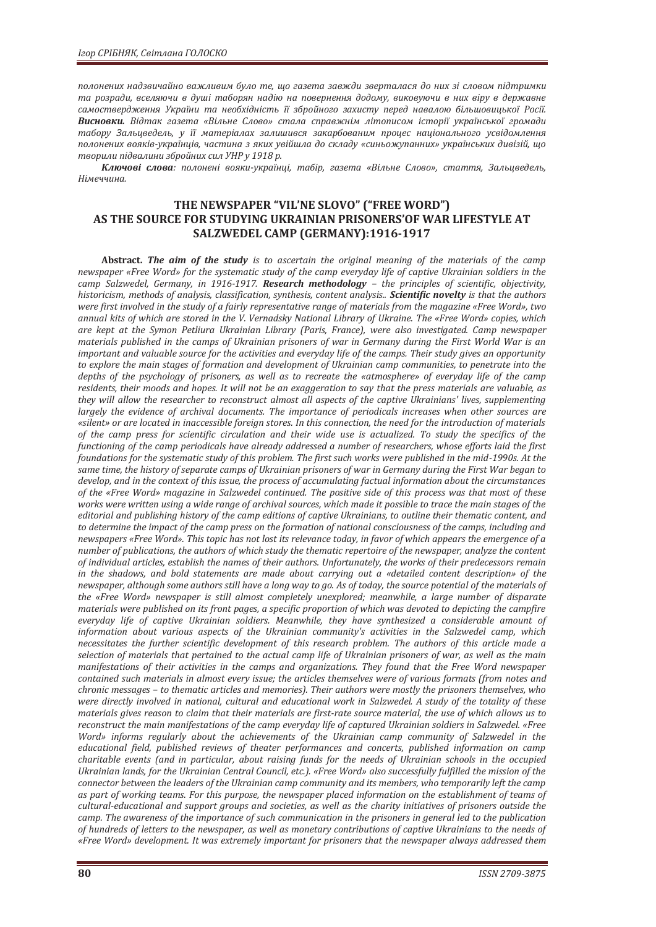*полонених надзвичайно важливим було те, що газета завжди зверталася до них зі словом підтримки та розради, вселяючи в душі таборян надію на повернення додому, виковуючи в них віру в державне самоствердження України та необхідність її збройного захисту перед навалою більшовицької Росії. Висновки. Відтак газета «Вільне Слово» стала справжнім літописом історії української громади табору Зальцведель, у її матеріалах залишився закарбованим процес національного усвідомлення* полонених вояків-україниів, частина з яких увійшла до складу «синьожупанних» українських дивізій, що *творили підвалини збройних сил УНР у 1918 р.*

*Ключові слова: полонені вояки-українці, табір, газета «Вільне Слово», стаття, Зальцведель, Німеччина.*

## **THE NEWSPAPER "VIL'NE SLOVO" ("FREE WORD") AS THE SOURCE FOR STUDYING UKRAINIAN PRISONERS'OF WAR LIFESTYLE AT SALZWEDEL CAMP (GERMANY):1916-1917**

**Abstract.** *The aim of the study is to ascertain the original meaning of the materials of the camp newspaper «Free Word» for the systematic study of the camp everyday life of captive Ukrainian soldiers in the camp Salzwedel, Germany, in 1916-1917. Research methodologу – the principles of scientific, objectivity, historicism, methods of analysis, classification, synthesis, content analysis.. Scientific novelty is that the authors were first involved in the study of a fairly representative range of materials from the magazine «Free Word», two annual kits of which are stored in the V. Vernadsky National Library of Ukraine. The «Free Word» copies, which are kept at the Symon Petliura Ukrainian Library (Paris, France), were also investigated. Camp newspaper materials published in the camps of Ukrainian prisoners of war in Germany during the First World War is an important and valuable source for the activities and everyday life of the camps. Their study gives an opportunity to explore the main stages of formation and development of Ukrainian camp communities, to penetrate into the depths of the psychology of prisoners, as well as to recreate the «atmosphere» of everyday life of the camp residents, their moods and hopes. It will not be an exaggeration to say that the press materials are valuable, as they will allow the researcher to reconstruct almost all aspects of the captive Ukrainians' lives, supplementing largely the evidence of archival documents. The importance of periodicals increases when other sources are «silent» or are located in inaccessible foreign stores. In this connection, the need for the introduction of materials of the camp press for scientific circulation and their wide use is actualized. To study the specifics of the functioning of the camp periodicals have already addressed a number of researchers, whose efforts laid the first foundations for the systematic study of this problem. The first such works were published in the mid-1990s. At the same time, the history of separate camps of Ukrainian prisoners of war in Germany during the First War began to develop, and in the context of this issue, the process of accumulating factual information about the circumstances of the «Free Word» magazine in Salzwedel continued. The positive side of this process was that most of these works were written using a wide range of archival sources, which made it possible to trace the main stages of the editorial and publishing history of the camp editions of captive Ukrainians, to outline their thematic content, and to determine the impact of the camp press on the formation of national consciousness of the camps, including and newspapers «Free Word». This topic has not lost its relevance today, in favor of which appears the emergence of a number of publications, the authors of which study the thematic repertoire of the newspaper, analyze the content of individual articles, establish the names of their authors. Unfortunately, the works of their predecessors remain in the shadows, and bold statements are made about carrying out a «detailed content description» of the newspaper, although some authors still have a long way to go. As of today, the source potential of the materials of the «Free Word» newspaper is still almost completely unexplored; meanwhile, a large number of disparate materials were published on its front pages, a specific proportion of which was devoted to depicting the campfire everyday life of captive Ukrainian soldiers. Meanwhile, they have synthesized a considerable amount of information about various aspects of the Ukrainian community's activities in the Salzwedel camp, which necessitates the further scientific development of this research problem. The authors of this article made a selection of materials that pertained to the actual camp life of Ukrainian prisoners of war, as well as the main manifestations of their activities in the camps and organizations. They found that the Free Word newspaper contained such materials in almost every issue; the articles themselves were of various formats (from notes and chronic messages – to thematic articles and memories). Their authors were mostly the prisoners themselves, who were directly involved in national, cultural and educational work in Salzwedel. A study of the totality of these materials gives reason to claim that their materials are first-rate source material, the use of which allows us to reconstruct the main manifestations of the camp everyday life of captured Ukrainian soldiers in Salzwedel. «Free Word» informs regularly about the achievements of the Ukrainian camp community of Salzwedel in the educational field, published reviews of theater performances and concerts, published information on camp charitable events (and in particular, about raising funds for the needs of Ukrainian schools in the occupied Ukrainian lands, for the Ukrainian Central Council, etc.). «Free Word» also successfully fulfilled the mission of the connector between the leaders of the Ukrainian camp community and its members, who temporarily left the camp as part of working teams. For this purpose, the newspaper placed information on the establishment of teams of cultural-educational and support groups and societies, as well as the charity initiatives of prisoners outside the camp. The awareness of the importance of such communication in the prisoners in general led to the publication of hundreds of letters to the newspaper, as well as monetary contributions of captive Ukrainians to the needs of «Free Word» development. It was extremely important for prisoners that the newspaper always addressed them*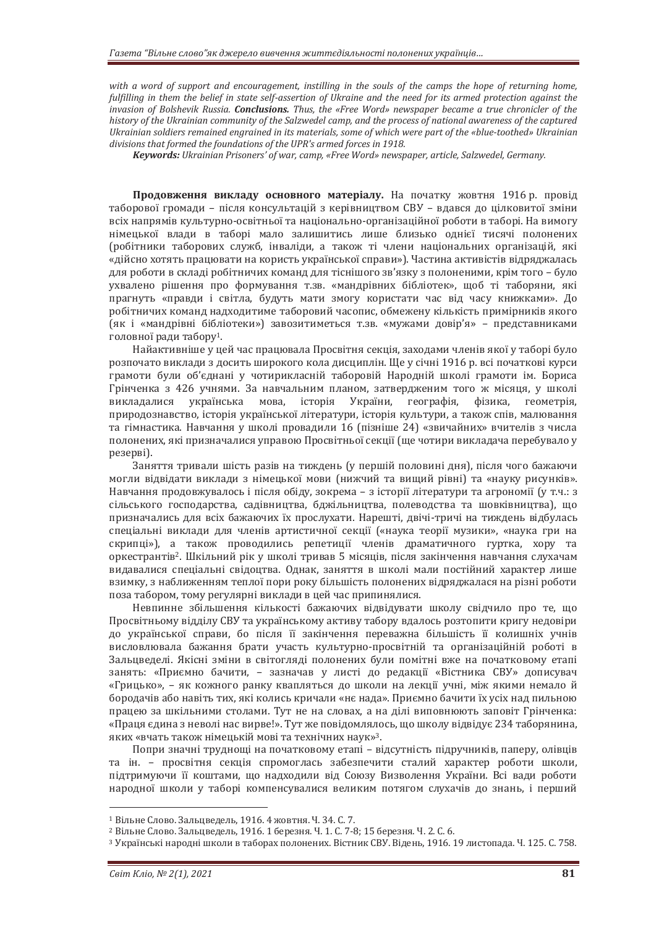with a word of support and encouragement, instilling in the souls of the camps the hope of returning home, fulfilling in them the belief in state self-assertion of Ukraine and the need for its armed protection against the *invasion of Bolshevik Russia. Conclusions. Thus, the «Free Word» newspaper became a true chronicler of the history of the Ukrainian community of the Salzwedel camp, and the process of national awareness of the captured Ukrainian soldiers remained engrained in its materials, some of which were part of the «blue-toothed» Ukrainian divisions that formed the foundations of the UPR's armed forces in 1918.* 

*Keywords: Ukrainian Prisoners' of war, camp, «Free Word» newspaper, article, Salzwedel, Germany.*

**Продовження викладу основного матеріалу.** На початку жовтня 1916 р. провід таборової громади – після консультацій з керівництвом СВУ – вдався до цілковитої зміни всіх напрямів культурно-освітньої та національно-організаційної роботи в таборі. На вимогу німецької влади в таборі мало залишитись лише близько однієї тисячі полонених (робітники таборових служб, інваліди, а також ті члени національних організацій, які «дійсно хотять працювати на користь української справи»). Частина активістів відряджалась для роботи в складі робітничих команд для тіснішого зв'язку з полоненими, крім того – було ухвалено рішення про формування т.зв. «мандрівних бібліотек», щоб ті таборяни, які прагнуть «правди і світла, будуть мати змогу користати час від часу книжками». До робітничих команд надходитиме таборовий часопис, обмежену кількість примірників якого (як і «мандрівні бібліотеки») завозитиметься т.зв. «мужами довір'я» – представниками головної ради табору1.

Найактивніше у цей час працювала Просвітня секція, заходами членів якої у таборі було розпочато виклади з досить широкого кола дисциплін. Ще у січні 1916 р. всі початкові курси грамоти були об'єднані у чотирикласній таборовій Народній школі грамоти ім. Бориса Грінченка з 426 учнями. За навчальним планом, затвердженим того ж місяця, у школі викладалися українська мова, історія України, географія, фізика, геометрія, природознавство, історія української літератури, історія культури, а також спів, малювання та гімнастика. Навчання у школі провадили 16 (пізніше 24) «звичайних» вчителів з числа полонених, які призначалися управою Просвітньої секції (ще чотири викладача перебувало у резерві).

Заняття тривали шість разів на тиждень (у першій половині дня), після чого бажаючи могли відвідати виклади з німецької мови (нижчий та вищий рівні) та «науку рисунків». Навчання продовжувалось і після обіду, зокрема – з історії літератури та агрономії (у т.ч.: з сільського господарства, садівництва, бджільництва, полеводства та шовківництва), що призначались для всіх бажаючих їх прослухати. Нарешті, двічі-тричі на тиждень відбулась спеціальні виклади для членів артистичної секції («наука теорії музики», «наука гри на скрипці»), а також проводились репетиції членів драматичного гуртка, хору та оркестрантів2. Шкільний рік у школі тривав 5 місяців, після закінчення навчання слухачам видавалися спеціальні свідоцтва. Однак, заняття в школі мали постійний характер лише взимку, з наближенням теплої пори року більшість полонених відряджалася на різні роботи поза табором, тому регулярні виклади в цей час припинялися.

Невпинне збільшення кількості бажаючих відвідувати школу свідчило про те, що Просвітньому відділу СВУ та українському активу табору вдалось розтопити кригу недовіри до української справи, бо після її закінчення переважна більшість її колишніх учнів висловлювала бажання брати участь культурно-просвітній та організаційній роботі в Зальцведелі. Якісні зміни в світогляді полонених були помітні вже на початковому етапі занять: «Приємно бачити, – зазначав у листі до редакції «Вістника СВУ» дописувач «Грицько», – як кожного ранку квапляться до школи на лекції учні, між якими немало й бородачів або навіть тих, які колись кричали «нє нада». Приємно бачити їх усіх над пильною працею за шкільними столами. Тут не на словах, а на ділі виповнюють заповіт Грінченка: «Праця єдина з неволі нас вирве!». Тут же повідомлялось, що школу відвідує 234 таборянина, яких «вчать також німецькій мові та технічних наук»3.

Попри значні труднощі на початковому етапі – відсутність підручників, паперу, олівців та ін. – просвітня секція спромоглась забезпечити сталий характер роботи школи, підтримуючи її коштами, що надходили від Союзу Визволення України. Всі вади роботи народної школи у таборі компенсувалися великим потягом слухачів до знань, і перший

<sup>&</sup>lt;sup>1</sup> Вільне Слово. Зальцведель, 1916. 4 жовтня. Ч. 34. С. 7.<br><sup>2</sup> Вільне Слово. Зальцведель, 1916. 1 березня. Ч. 1. С. 7-8; 15 березня. Ч. 2. С. 6.<br><sup>3</sup> Українські народні школи в таборах полонених. Вістник СВУ. Відень, 1916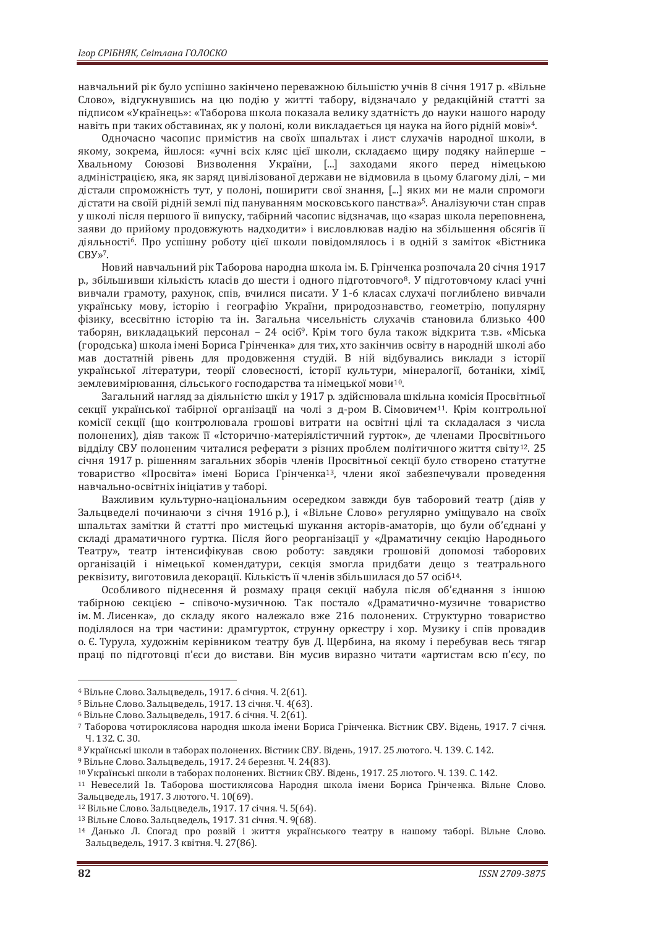навчальний рік було успішно закінчено переважною більшістю учнів 8 січня 1917 р. «Вільне Слово», відгукнувшись на цю подію у житті табору, відзначало у редакційній статті за підписом «Українець»: «Таборова школа показала велику здатність до науки нашого народу навіть при таких обставинах, як у полоні, коли викладається ця наука на його рідній мові»4.

Одночасно часопис примістив на своїх шпальтах і лист слухачів народної школи, в якому, зокрема, йшлося: «учні всіх кляс цієї школи, складаємо щиру подяку найперше – Хвальному Союзові Визволення України, [...] заходами якого перед німецькою адміністрацією, яка, як заряд цивілізованої держави не відмовила в цьому благому ділі, – ми дістали спроможність тут, у полоні, поширити свої знання, [...] яких ми не мали спромоги дістати на своїй рідній землі під пануванням московського панства»5. Аналізуючи стан справ у школі після першого її випуску, табірний часопис відзначав, що «зараз школа переповнена, заяви до прийому продовжують надходити» і висловлював надію на збільшення обсягів її діяльності6. Про успішну роботу цієї школи повідомлялось і в одній з заміток «Вістника СВУ»7.

Новий навчальний рік Таборова народна школа ім. Б. Грінченка розпочала 20 січня 1917 р., збільшивши кількість класів до шести і одного підготовчого8. У підготовчому класі учні вивчали грамоту, рахунок, спів, вчилися писати. У 1-6 класах слухачі поглиблено вивчали українську мову, історію і географію України, природознавство, геометрію, популярну фізику, всесвітню історію та ін. Загальна чисельність слухачів становила близько 400 таборян, викладацький персонал – 24 осіб9. Крім того була також відкрита т.зв. «Міська (городська) школа імені Бориса Грінченка» для тих, хто закінчив освіту в народній школі або мав достатній рівень для продовження студій. В ній відбувались виклади з історії української літератури, теорії словесності, історії культури, мінералогії, ботаніки, хімії, землевимірювання, сільського господарства та німецької мови10.

Загальний нагляд за діяльністю шкіл у 1917 р. здійснювала шкільна комісія Просвітньої секції української табірної організації на чолі з д-ром В. Сімовичем<sup>11</sup>. Крім контрольної комісії секції (що контролювала грошові витрати на освітні цілі та складалася з числа полонених), діяв також її «Історично-матеріялістичний гурток», де членами Просвітнього відділу СВУ полоненим читалися реферати з різних проблем політичного життя світу12. 25 січня 1917 р. рішенням загальних зборів членів Просвітньої секції було створено статутне товариство «Просвіта» імені Бориса Грінченка13, члени якої забезпечували проведення навчально-освітніх ініціатив у таборі.

Важливим культурно-національним осередком завжди був таборовий театр (діяв у Зальцведелі починаючи з січня 1916 р.), і «Вільне Слово» регулярно уміщувало на своїх шпальтах замітки й статті про мистецькі шукання акторів-аматорів, що були об'єднані у складі драматичного гуртка. Після його реорганізації у «Драматичну секцію Народнього Театру», театр інтенсифікував свою роботу: завдяки грошовій допомозі таборових організацій і німецької комендатури, секція змогла придбати дещо з театрального реквізиту, виготовила декорації. Кількість її членів збільшилася до 57 осіб14.

Особливого піднесення й розмаху праця секції набула після об'єднання з іншою табірною секцією – співочо-музичною. Так постало «Драматично-музичне товариство ім. М. Лисенка», до складу якого належало вже 216 полонених. Структурно товариство поділялося на три частини: драмгурток, струнну оркестру і хор. Музику і спів провадив о. Є. Турула, художнім керівником театру був Д. Щербина, на якому і перебував весь тягар праці по підготовці п'єси до вистави. Він мусив виразно читати «артистам всю п'єсу, по

<sup>&</sup>lt;sup>4</sup> Вільне Слово. Зальцведель, 1917. 6 січня. Ч. 2(61).<br><sup>5</sup> Вільне Слово. Зальцведель, 1917. 13 січня. Ч. 4(63).<br><sup>6</sup> Вільне Слово. Зальцведель, 1917. 6 січня. Ч. 2(61).<br>7 Таборова чотироклясова народня школа імени Бориса Ч. 132. С. 30.<br><sup>8</sup> Українські школи в таборах полонених. Вістник СВУ. Відень, 1917. 25 лютого. Ч. 139. С. 142.<br><sup>9</sup> Вільне Слово. Зальцведель, 1917. 24 березня. Ч. 24(83).<br><sup>10</sup> Українські школи в таборах полонених. Вістник

Зальцведель, 1917. 3 лютого. Ч. 10(69).<br><sup>12</sup> Вільне Слово. Зальцведель, 1917. 17 січня. Ч. 5(64).<br><sup>13</sup> Вільне Слово. Зальцведель, 1917. 31 січня. Ч. 9(68).<br><sup>14</sup> Данько Л. Спогад про розвій і життя українського театру в на

Зальцведель, 1917. 3 квітня. Ч. 27(86).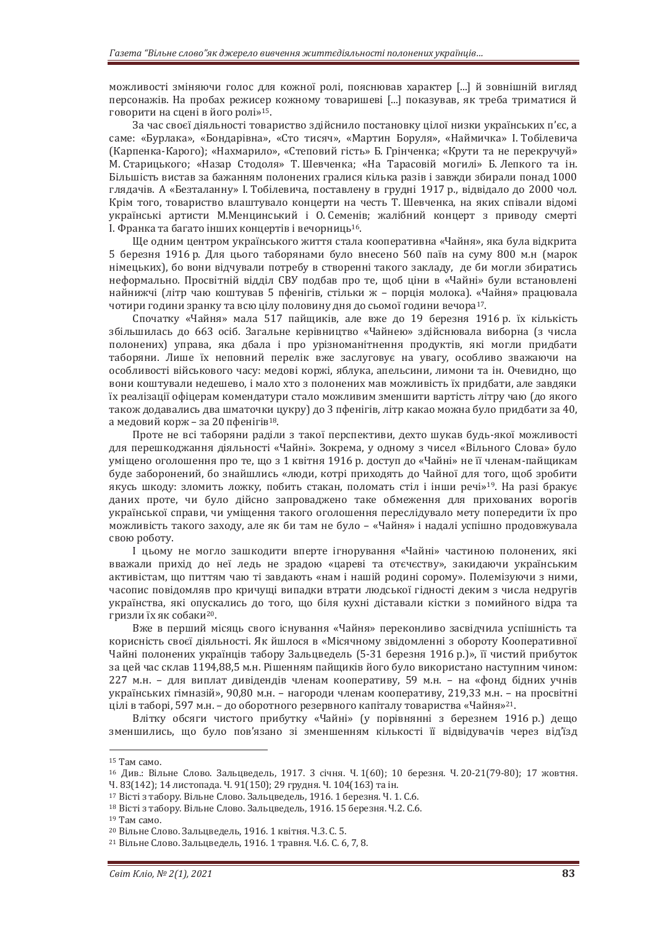можливості зміняючи голос для кожної ролі, пояснював характер [...] й зовнішній вигляд персонажів. На пробах режисер кожному товаришеві [...] показував, як треба триматися й говорити на сцені в його ролі»15.

За час своєї діяльності товариство здійснило постановку цілої низки українських п'єс, а саме: «Бурлака», «Бондарівна», «Сто тисяч», «Мартин Боруля», «Наймичка» І. Тобілевича (Карпенка-Карого); «Нахмарило», «Степовий гість» Б. Грінченка; «Крути та не перекручуй» М. Старицького; «Назар Стодоля» Т. Шевченка; «На Тарасовій могилі» Б. Лепкого та ін. Більшість вистав за бажанням полонених гралися кілька разів і завжди збирали понад 1000 глядачів. А «Безталанну» І. Тобілевича, поставлену в грудні 1917 р., відвідало до 2000 чол. Крім того, товариство влаштувало концерти на честь Т. Шевченка, на яких співали відомі українські артисти М.Менцинський і О. Семенів; жалібний концерт з приводу смерті І. Франка та багато інших концертів і вечорниць16.

Ще одним центром українського життя стала кооперативна «Чайня», яка була відкрита 5 березня 1916 р. Для цього таборянами було внесено 560 паїв на суму 800 м.н (марок німецьких), бо вони відчували потребу в створенні такого закладу, де би могли збиратись неформально. Просвітній відділ СВУ подбав про те, щоб ціни в «Чайні» були встановлені найнижчі (літр чаю коштував 5 пфенігів, стільки ж – порція молока). «Чайня» працювала чотири години зранку та всю цілу половину дня до сьомої години вечора17.

Спочатку «Чайня» мала 517 пайщиків, але вже до 19 березня 1916 р. їх кількість збільшилась до 663 осіб. Загальне керівництво «Чайнею» здійснювала виборна (з числа полонених) управа, яка дбала і про урізноманітнення продуктів, які могли придбати таборяни. Лише їх неповний перелік вже заслуговує на увагу, особливо зважаючи на особливості військового часу: медові коржі, яблука, апельсини, лимони та ін. Очевидно, що вони коштували недешево, і мало хто з полонених мав можливість їх придбати, але завдяки їх реалізації офіцерам комендатури стало можливим зменшити вартість літру чаю (до якого також додавались два шматочки цукру) до 3 пфенігів, літр какао можна було придбати за 40, а медовий корж – за 20 пфенігів18.

Проте не всі таборяни раділи з такої перспективи, дехто шукав будь-якої можливості для перешкоджання діяльності «Чайні». Зокрема, у одному з чисел «Вільного Слова» було уміщено оголошення про те, що з 1 квітня 1916 р. доступ до «Чайні» не її членам-пайщикам буде заборонений, бо знайшлись «люди, котрі приходять до Чайної для того, щоб зробити якусь шкоду: зломить ложку, побить стакан, поломать стіл і інши речі»19. На разі бракує даних проте, чи було дійсно запроваджено таке обмеження для прихованих ворогів української справи, чи уміщення такого оголошення переслідувало мету попередити їх про можливість такого заходу, але як би там не було – «Чайня» і надалі успішно продовжувала свою роботу.

І цьому не могло зашкодити вперте ігнорування «Чайні» частиною полонених, які вважали прихід до неї ледь не зрадою «цареві та отєчєству», закидаючи українським активістам, що питтям чаю ті завдають «нам і нашій родині сорому». Полемізуючи з ними, часопис повідомляв про кричущі випадки втрати людської гідності деким з числа недругів українства, які опускались до того, що біля кухні діставали кістки з помийного відра та гризли їх як собаки20.

Вже в перший місяць свого існування «Чайня» переконливо засвідчила успішність та корисність своєї діяльності. Як йшлося в «Місячному звідомленні з обороту Кооперативної Чайні полонених українців табору Зальцведель (5-31 березня 1916 р.)», її чистий прибуток за цей час склав 1194,88,5 м.н. Рішенням пайщиків його було використано наступним чином: 227 м.н. – для виплат дивідендів членам кооперативу, 59 м.н. – на «фонд бідних учнів українських гімназій», 90,80 м.н. – нагороди членам кооперативу, 219,33 м.н. – на просвітні цілі в таборі, 597 м.н. – до оборотного резервного капіталу товариства «Чайня»21.

Влітку обсяги чистого прибутку «Чайні» (у порівнянні з березнем 1916 р.) дещо зменшились, що було пов'язано зі зменшенням кількості її відвідувачів через від'їзд

<sup>15</sup> Там само.

<sup>16</sup> Див.: Вільне Слово. Зальцведель, 1917. 3 січня. Ч. 1(60); 10 березня. Ч. 20-21(79-80); 17 жовтня.

Ч. 83(142); 14 листопада. Ч. 91(150); 29 грудня. Ч. 104(163) та ін.

<sup>17</sup> Вісті з табору. Вільне Слово. Зальцведель, 1916. 1 березня. Ч. 1. С.6.

<sup>18</sup> Вісті з табору. Вільне Слово. Зальцведель, 1916. 15 березня. Ч.2. С.6.

<sup>19</sup> Там само.

<sup>&</sup>lt;sup>20</sup> Вільне Слово. Зальцведель, 1916. 1 квітня. Ч.3. С. 5.<br><sup>21</sup> Вільне Слово. Зальцведель, 1916. 1 травня. Ч.6. С. 6, 7, 8.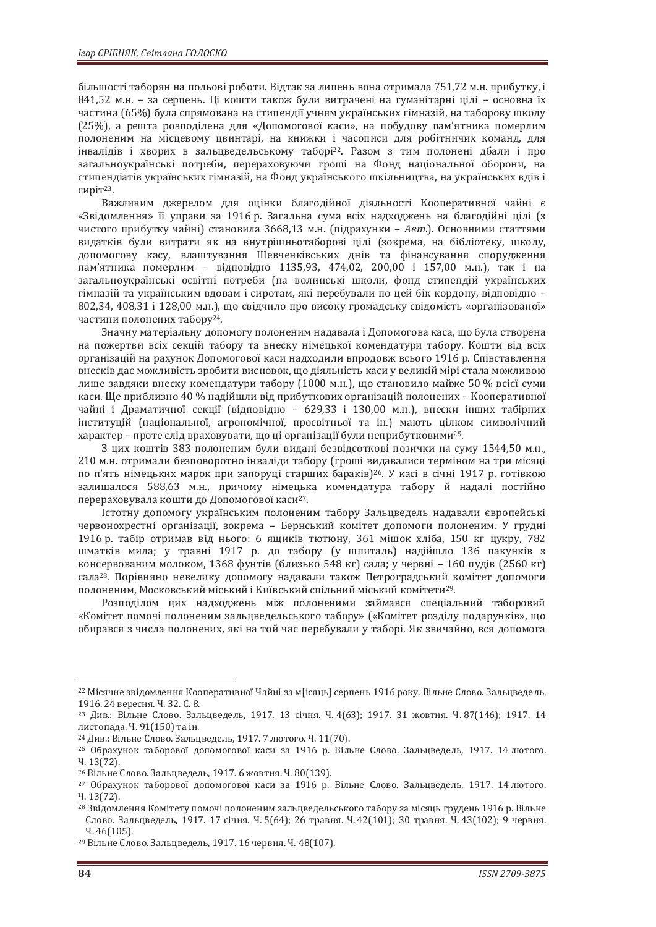більшості таборян на польові роботи. Відтак за липень вона отримала 751,72 м.н. прибутку, і 841,52 м.н. – за серпень. Ці кошти також були витрачені на гуманітарні цілі – основна їх частина (65%) була спрямована на стипендії учням українських гімназій, на таборову школу (25%), а решта розподілена для «Допомогової каси», на побудову пам'ятника померлим полоненим на місцевому цвинтарі, на книжки і часописи для робітничих команд, для інвалідів і хворих в зальцведельському таборі22. Разом з тим полонені дбали і про загальноукраїнські потреби, перераховуючи гроші на Фонд національної оборони, на стипендіатів українських гімназій, на Фонд українського шкільництва, на українських вдів і сиріт23.

Важливим джерелом для оцінки благодійної діяльності Кооперативної чайні є «Звідомлення» її управи за 1916 р. Загальна сума всіх надходжень на благодійні цілі (з чистого прибутку чайні) становила 3668,13 м.н. (підрахунки – *Авт*.). Основними статтями видатків були витрати як на внутрішньотаборові цілі (зокрема, на бібліотеку, школу, допомогову касу, влаштування Шевченківських днів та фінансування спорудження пам'ятника померлим – відповідно 1135,93, 474,02, 200,00 і 157,00 м.н.), так і на загальноукраїнські освітні потреби (на волинські школи, фонд стипендій українських гімназій та українським вдовам і сиротам, які перебували по цей бік кордону, відповідно – 802,34, 408,31 і 128,00 м.н.), що свідчило про високу громадську свідомість «організованої» частини полонених табору24.

Значну матеріальну допомогу полоненим надавала і Допомогова каса, що була створена на пожертви всіх секцій табору та внеску німецької комендатури табору. Кошти від всіх організацій на рахунок Допомогової каси надходили впродовж всього 1916 р. Співставлення внесків дає можливість зробити висновок, що діяльність каси у великій мірі стала можливою лише завдяки внеску комендатури табору (1000 м.н.), що становило майже 50 % всієї суми каси. Ще приблизно 40 % надійшли від прибуткових організацій полонених – Кооперативної чайні і Драматичної секції (відповідно – 629,33 і 130,00 м.н.), внески інших табірних інституцій (національної, агрономічної, просвітньої та ін.) мають цілком символічний характер – проте слід враховувати, що ці організації були неприбутковими25.

З цих коштів 383 полоненим були видані безвідсоткові позички на суму 1544,50 м.н., 210 м.н. отримали безповоротно інваліди табору (гроші видавалися терміном на три місяці по п'ять німецьких марок при запоруці старших бараків)26. У касі в січні 1917 р. готівкою залишалося 588,63 м.н., причому німецька комендатура табору й надалі постійно перераховувала кошти до Допомогової каси27.

Істотну допомогу українським полоненим табору Зальцведель надавали європейські червонохрестні організації, зокрема – Бернський комітет допомоги полоненим. У грудні 1916 р. табір отримав від нього: 6 ящиків тютюну, 361 мішок хліба, 150 кг цукру, 782 шматків мила; у травні 1917 р. до табору (у шпиталь) надійшло 136 пакунків з консервованим молоком, 1368 фунтів (близько 548 кг) сала; у червні – 160 пудів (2560 кг) сала28. Порівняно невелику допомогу надавали також Петроградський комітет допомоги полоненим, Московський міський і Київський спільний міський комітети29.

Розподілом цих надходжень між полоненими займався спеціальний таборовий «Комітет помочі полоненим зальцведельського табору» («Комітет розділу подарунків», що обирався з числа полонених, які на той час перебували у таборі. Як звичайно, вся допомога

<sup>22</sup> Місячне звідомлення Кооперативної Чайні за м[ісяць] серпень 1916 року. Вільне Слово. Зальцведель, 1916. 24 вересня. Ч. 32. С. 8.<br><sup>23</sup> Див.: Вільне Слово. Зальцведель, 1917. 13 січня. Ч. 4(63); 1917. 31 жовтня. Ч. 87(146); 1917. 14

листопада. Ч. 91(150) та ін.

<sup>&</sup>lt;sup>24</sup> Див.: Вільне Слово. Зальцведель, 1917. 7 лютого. Ч. 11(70).<br><sup>25</sup> Обрахунок таборової допомогової каси за 1916 р. Вільне Слово. Зальцведель, 1917. 14 лютого. Ч. 13(72).

<sup>&</sup>lt;sup>26</sup> Вільне Слово. Зальцведель, 1917. 6 жовтня. Ч. 80(139).<br><sup>27</sup> Обрахунок таборової допомогової каси за 1916 р. Вільне Слово. Зальцведель, 1917. 14 лютого. Ч. 13(72).

<sup>28</sup> Звідомлення Комітету помочі полоненим зальцведельського табору за місяць грудень 1916 р. Вільне Слово. Зальцведель, 1917. 17 січня. Ч. 5(64); 26 травня. Ч. 42(101); 30 травня. Ч. 43(102); 9 червня. <sup>Ч</sup>. 46(105). 29 Вільне Слово. Зальцведель, 1917. 16 червня. Ч. 48(107).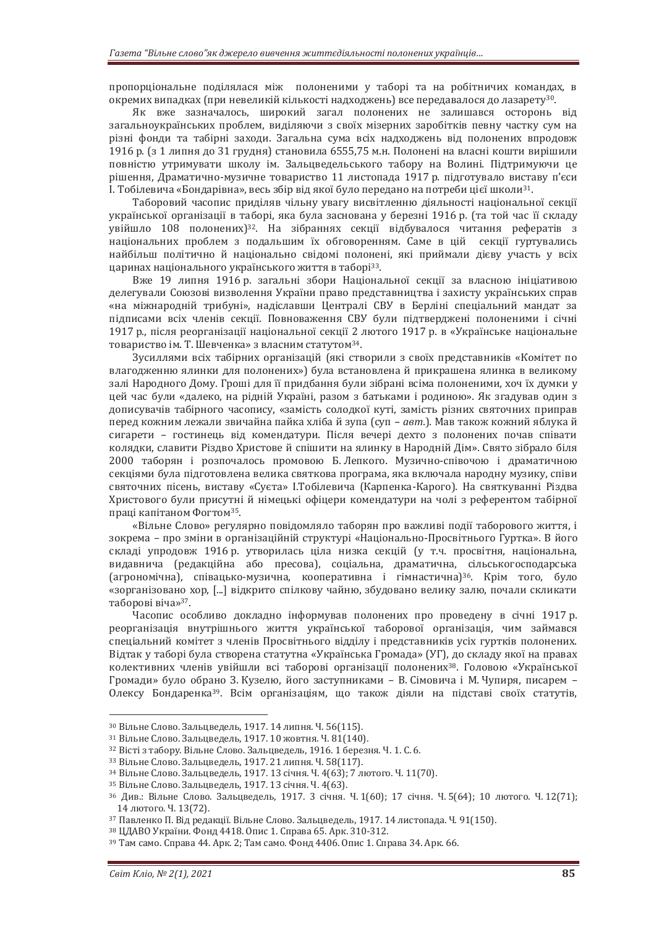пропорціональне поділялася між полоненими у таборі та на робітничих командах, в окремих випадках (при невеликій кількості надходжень) все передавалося до лазарету30.

Як вже зазначалось, широкий загал полонених не залишався осторонь від загальноукраїнських проблем, виділяючи з своїх мізерних заробітків певну частку сум на різні фонди та табірні заходи. Загальна сума всіх надходжень від полонених впродовж 1916 р. (з 1 липня до 31 грудня) становила 6555,75 м.н. Полонені на власні кошти вирішили повністю утримувати школу ім. Зальцведельського табору на Волині. Підтримуючи це рішення, Драматично-музичне товариство 11 листопада 1917 р. підготувало виставу п'єси І. Тобілевича «Бондарівна», весь збір від якої було передано на потреби цієї школи31.

Таборовий часопис приділяв чільну увагу висвітленню діяльності національної секції української організації в таборі, яка була заснована у березні 1916 р. (та той час її складу увійшло 108 полонених)32. На зібраннях секції відбувалося читання рефератів з національних проблем з подальшим їх обговоренням. Саме в цій секції гуртувались найбільш політично й національно свідомі полонені, які приймали дієву участь у всіх царинах національного українського життя в таборі33.

Вже 19 липня 1916 р. загальні збори Національної секції за власною ініціативою делегували Союзові визволення України право представництва і захисту українських справ «на міжнародній трибуні», надіславши Централі СВУ в Берліні спеціальний мандат за підписами всіх членів секції. Повноваження СВУ були підтверджені полоненими і січні 1917 р., після реорганізації національної секції 2 лютого 1917 р. в «Українське національне товариство ім. Т. Шевченка» з власним статутом34.

Зусиллями всіх табірних організацій (які створили з своїх представників «Комітет по влагодженню ялинки для полонених») була встановлена й прикрашена ялинка в великому залі Народного Дому. Гроші для її придбання були зібрані всіма полоненими, хоч їх думки у цей час були «далеко, на рідній Україні, разом з батьками і родиною». Як згадував один з дописувачів табірного часопису, «замість солодкої куті, замість різних святочних приправ перед кожним лежали звичайна пайка хліба й зупа (суп – *авт*.). Мав також кожний яблука й сигарети – гостинець від комендатури. Після вечері дехто з полонених почав співати колядки, славити Різдво Христове й спішити на ялинку в Народній Дім». Свято зібрало біля 2000 таборян і розпочалось промовою Б. Лепкого. Музично-співочою і драматичною секціями була підготовлена велика святкова програма, яка включала народну музику, співи святочних пісень, виставу «Суєта» І.Тобілевича (Карпенка-Карого). На святкуванні Різдва Христового були присутні й німецькі офіцери комендатури на чолі з референтом табірної праці капітаном Фогтом35.

«Вільне Слово» регулярно повідомляло таборян про важливі події таборового життя, і зокрема – про зміни в організаційній структурі «Національно-Просвітнього Гуртка». В його складі упродовж 1916 р. утворилась ціла низка секцій (у т.ч. просвітня, національна, видавнича (редакційна або пресова), соціальна, драматична, сільськогосподарська (агрономічна), співацько-музична, кооперативна і гімнастична)36. Крім того, було «зорганізовано хор, [...] відкрито спілкову чайню, збудовано велику залю, почали скликати таборові віча»37.

Часопис особливо докладно інформував полонених про проведену в січні 1917 р. реорганізація внутрішнього життя української таборової організація, чим займався спеціальний комітет з членів Просвітнього відділу і представників усіх гуртків полонених. Відтак у таборі була створена статутна «Українська Громада» (УГ), до складу якої на правах колективних членів увійшли всі таборові організації полонених38. Головою «Української Громади» було обрано З. Кузелю, його заступниками – В. Сімовича і М. Чупиря, писарем – Олексу Бондаренка39. Всім організаціям, що також діяли на підставі своїх статутів,

<sup>&</sup>lt;sup>30</sup> Вільне Слово. Зальцведель, 1917. 14 липня. Ч. 56(115).<br><sup>31</sup> Вільне Слово. Зальцведель, 1917. 10 жовтня. Ч. 81(140).<br><sup>32</sup> Вісті з табору. Вільне Слово. Зальцведель, 1916. 1 березня. Ч. 1. С. 6.<br><sup>33</sup> Вільне Слово. Заль 14 лютого. Ч. 13(72).<br><sup>37</sup> Павленко П. Від редакції. Вільне Слово. Зальцведель, 1917. 14 листопада. Ч. 91(150).<br><sup>38</sup> ЦДАВО України. Фонд 4418. Опис 1. Справа 65. Арк. 310-312.<br><sup>39</sup> Там само. Справа 44. Арк. 2; Там само. Ф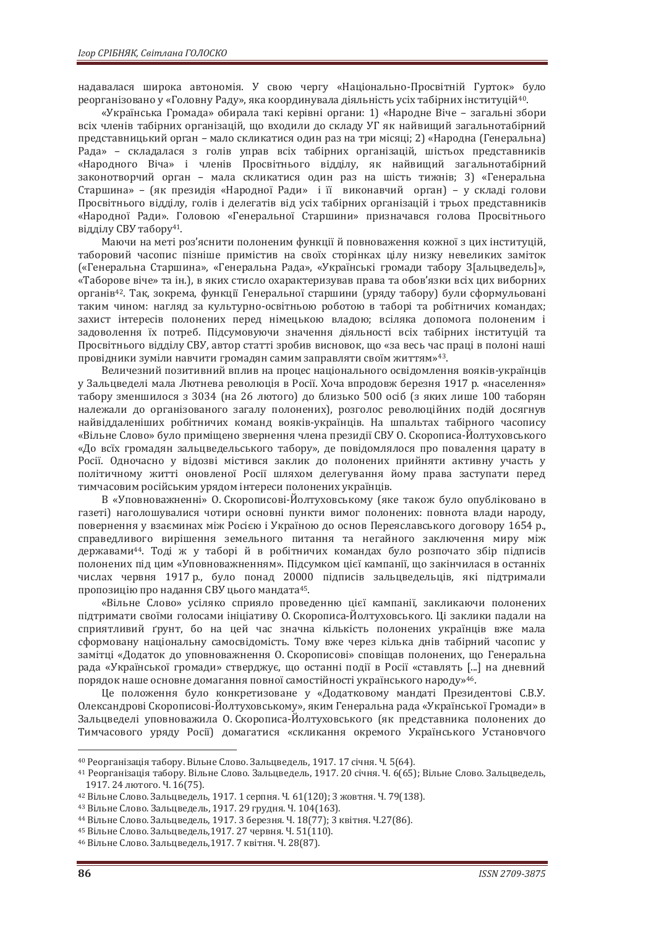надавалася широка автономія. У свою чергу «Національно-Просвітній Гурток» було реорганізовано у «Головну Раду», яка координувала діяльність усіх табірних інституцій40.

«Українська Громада» обирала такі керівні органи: 1) «Народне Віче – загальні збори всіх членів табірних організацій, що входили до складу УГ як найвищий загальнотабірний представницький орган – мало скликатися один раз на три місяці; 2) «Народна (Генеральна) Рада» – складалася з голів управ всіх табірних організацій, шістьох представників «Народного Віча» і членів Просвітнього відділу, як найвищий загальнотабірний законотворчий орган – мала скликатися один раз на шість тижнів; 3) «Генеральна Старшина» – (як президія «Народної Ради» і її виконавчий орган) – у складі голови Просвітнього відділу, голів і делегатів від усіх табірних організацій і трьох представників «Народної Ради». Головою «Генеральної Старшини» призначався голова Просвітнього відділу СВУ табору41.

Маючи на меті роз'яснити полоненим функції й повноваження кожної з цих інституцій, таборовий часопис пізніше примістив на своїх сторінках цілу низку невеликих заміток («Генеральна Старшина», «Генеральна Рада», «Українські громади табору З[альцведель]», «Таборове віче» та ін.), в яких стисло охарактеризував права та обов'язки всіх цих виборних органів42. Так, зокрема, функції Генеральної старшини (уряду табору) були сформульовані таким чином: нагляд за культурно-освітньою роботою в таборі та робітничих командах; захист інтересів полонених перед німецькою владою; всіляка допомога полоненим і задоволення їх потреб. Підсумовуючи значення діяльності всіх табірних інституцій та Просвітнього відділу СВУ, автор статті зробив висновок, що «за весь час праці в полоні наші провідники зуміли навчити громадян самим заправляти своїм життям»43.

Величезний позитивний вплив на процес національного освідомлення вояків-українців у Зальцведелі мала Лютнева революція в Росії. Хоча впродовж березня 1917 р. «населення» табору зменшилося з 3034 (на 26 лютого) до близько 500 осіб (з яких лише 100 таборян належали до організованого загалу полонених), розголос революційних подій досягнув найвіддаленіших робітничих команд вояків-українців. На шпальтах табірного часопису «Вільне Слово» було приміщено звернення члена президії СВУ О. Скорописа-Йолтуховського «До всїх громадян зальцведельського табору», де повідомлялося про повалення царату в Росії. Одночасно у відозві містився заклик до полонених прийняти активну участь у політичному житті оновленої Росії шляхом делегування йому права заступати перед тимчасовим російським урядом інтереси полонених українців.

В «Уповноважненні» О. Скорописові-Йолтуховському (яке також було опубліковано в газеті) наголошувалися чотири основні пункти вимог полонених: повнота влади народу, повернення у взаєминах між Росією і Україною до основ Переяславського договору 1654 р., справедливого вирішення земельного питання та негайного заключення миру між державами44. Тоді ж у таборі й в робітничих командах було розпочато збір підписів полонених під цим «Уповноважненням». Підсумком цієї кампанії, що закінчилася в останніх числах червня 1917 р., було понад 20000 підписів зальцведельців, які підтримали пропозицію про надання СВУ цього мандата45.

«Вільне Слово» усіляко сприяло проведенню цієї кампанії, закликаючи полонених підтримати своїми голосами ініціативу О. Скорописа-Йолтуховського. Ці заклики падали на сприятливий ґрунт, бо на цей час значна кількість полонених українців вже мала сформовану національну самосвідомість. Тому вже через кілька днів табірний часопис у замітці «Додаток до уповноважнення О. Скорописові» сповіщав полонених, що Генеральна рада «Української громади» стверджує, що останні події в Росії «ставлять [...] на дневний порядок наше основне домагання повної самостійності українського народу»46.

Це положення було конкретизоване у «Додатковому мандаті Президентові С.В.У. Олександрові Скорописові-Йолтуховському», яким Генеральна рада «Української Громади» в Зальцведелі уповноважила О. Скорописа-Йолтуховського (як представника полонених до Тимчасового уряду Росії) домагатися «скликання окремого Українського Установчого

<sup>&</sup>lt;sup>40</sup> Реорганізація табору. Вільне Слово. Зальцведель, 1917. 17 січня. Ч. 5(64).<br><sup>41</sup> Реорганізація табору. Вільне Слово. Зальцведель, 1917. 20 січня. Ч. 6(65); Вільне Слово. Зальцведель, 1917. 24 лютого. Ч. 16(75).<br><sup>42</sup> Вільне Слово. Зальцведель, 1917. 1 серпня. Ч. 61(120); 3 жовтня. Ч. 79(138).<br><sup>43</sup> Вільне Слово. Зальцведель, 1917. 29 грудня. Ч. 104(163).<br><sup>44</sup> Вільне Слово. Зальцведель. 1917. 3 березня.

<sup>45</sup> Вільне Слово. Зальцведель,1917. 27 червня. Ч. 51(110). 46 Вільне Слово. Зальцведель,1917. 7 квітня. Ч. 28(87).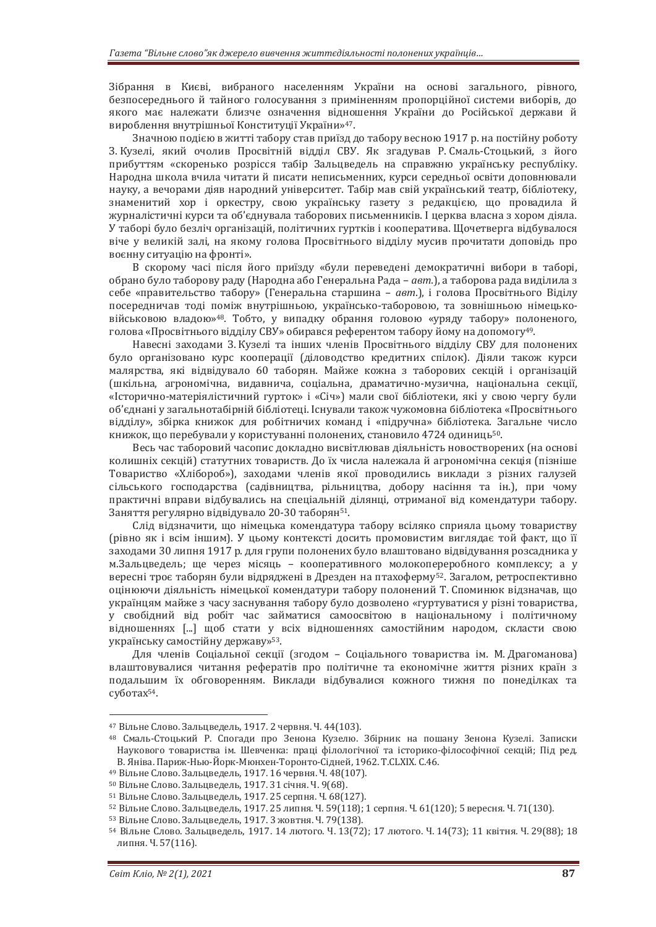Зібрання в Києві, вибраного населенням України на основі загального, рівного, безпосереднього й тайного голосування з приміненням пропорційної системи виборів, до якого має належати близче означення відношення України до Російської держави й вироблення внутрішньої Конституції України»47.

Значною подією в житті табору став приїзд до табору весною 1917 р. на постійну роботу З. Кузелі, який очолив Просвітній відділ СВУ. Як згадував Р. Смаль-Стоцький, з його прибуттям «скоренько розрісся табір Зальцведель на справжню українську республіку. Народна школа вчила читати й писати неписьменних, курси середньої освіти доповнювали науку, а вечорами діяв народний університет. Табір мав свій український театр, бібліотеку, знаменитий хор і оркестру, свою українську газету з редакцією, що провадила й журналістичні курси та об'єднувала таборових письменників. І церква власна з хором діяла. У таборі було безліч організацій, політичних гуртків і кооператива. Щочетверга відбувалося віче у великій залі, на якому голова Просвітнього відділу мусив прочитати доповідь про воєнну ситуацію на фронті».

В скорому часі після його приїзду «були переведені демократичні вибори в таборі, обрано було таборову раду (Народна або Генеральна Рада – *авт*.), а таборова рада виділила з себе «правительство табору» (Генеральна старшина – *авт*.), і голова Просвітнього Віділу посередничав тоді поміж внутрішньою, українсько-таборовою, та зовнішньою німецьковійськовою владою»48. Тобто, у випадку обрання головою «уряду табору» полоненого, голова «Просвітнього відділу СВУ» обирався референтом табору йому на допомогу49.

Навесні заходами З. Кузелі та інших членів Просвітнього відділу СВУ для полонених було організовано курс кооперації (діловодство кредитних спілок). Діяли також курси малярства, які відвідувало 60 таборян. Майже кожна з таборових секцій і організацій (шкільна, агрономічна, видавнича, соціальна, драматично-музична, національна секції, «Історично-матеріялістичний гурток» і «Січ») мали свої бібліотеки, які у свою чергу були об'єднані у загальнотабірній бібліотеці. Існували також чужомовна бібліотека «Просвітнього відділу», збірка книжок для робітничих команд і «підручна» бібліотека. Загальне число книжок, що перебували у користуванні полонених, становило 4724 одиниць50.

Весь час таборовий часопис докладно висвітлював діяльність новостворених (на основі колишніх секцій) статутних товариств. До їх числа належала й агрономічна секція (пізніше Товариство «Хлібороб»), заходами членів якої проводились виклади з різних галузей сільського господарства (садівництва, рільництва, добору насіння та ін.), при чому практичні вправи відбувались на спеціальній ділянці, отриманої від комендатури табору. Заняття регулярно відвідувало 20-30 таборян51.

Слід відзначити, що німецька комендатура табору всіляко сприяла цьому товариству (рівно як і всім іншим). У цьому контексті досить промовистим виглядає той факт, що її заходами 30 липня 1917 р. для групи полонених було влаштовано відвідування розсадника у м.Зальцведель; ще через місяць – кооперативного молокопереробного комплексу; а у вересні троє таборян були відряджені в Дрезден на птахоферму52. Загалом, ретроспективно оцінюючи діяльність німецької комендатури табору полонений Т. Споминюк відзначав, що українцям майже з часу заснування табору було дозволено «гуртуватися у різні товариства, у свобідний від робіт час займатися самоосвітою в національному і політичному відношеннях [...] щоб стати у всіх відношеннях самостійним народом, скласти свою українську самостійну державу»53.

Для членів Соціальної секції (згодом – Соціального товариства ім. М. Драгоманова) влаштовувалися читання рефератів про політичне та економічне життя різних країн з подальшим їх обговоренням. Виклади відбувалися кожного тижня по понеділках та суботах54.

<sup>&</sup>lt;sup>47</sup> Вільне Слово. Зальцведель, 1917. 2 червня. Ч. 44(103).<br><sup>48</sup> Смаль-Стоцький Р. Спогади про Зенона Кузелю. Збірник на пошану Зенона Кузелі. Записки Наукового товариства ім. Шевченка: праці філологічної та історико-філософічної секцій; Під ред. В. Яніва. Париж-Нью-Йорк-Мюнхен-Торонто-Сідней, 1962. Т.СLХІХ. С.46.

<sup>&</sup>lt;sup>49</sup> Вільне Слово. Зальцведель, 1917. 16 червня. Ч. 48(107).<br><sup>50</sup> Вільне Слово. Зальцведель, 1917. 31 січня. Ч. 9(68).<br><sup>51</sup> Вільне Слово. Зальцведель, 1917. 25 серпня. Ч. 68(127).<br><sup>52</sup> Вільне Слово. Зальцведель, 1917. 25

липня. Ч. 57(116).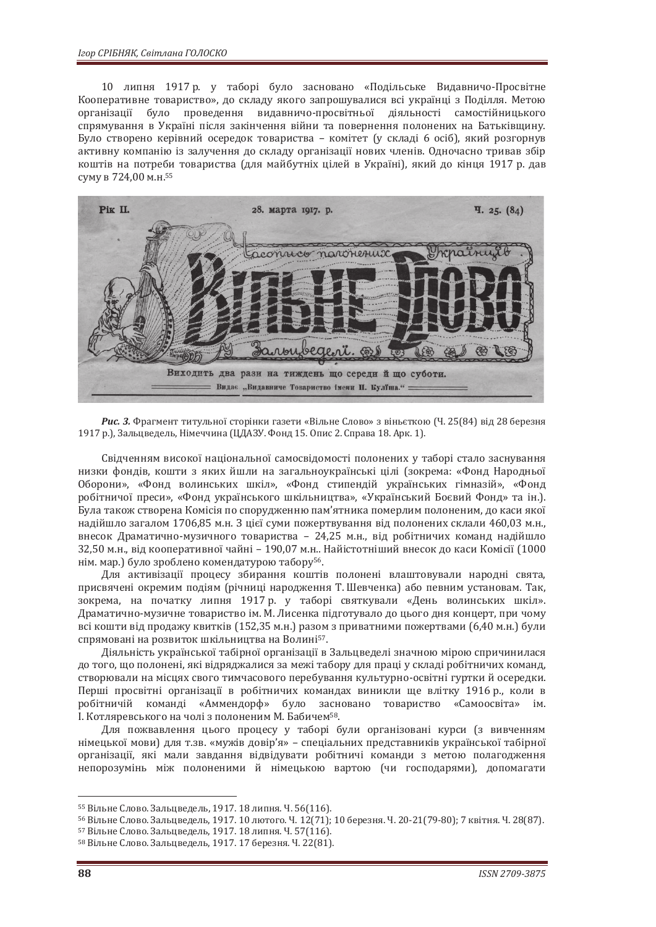10 липня 1917 р. у таборі було засновано «Подільське Видавничо-Просвітне Кооперативне товариство», до складу якого запрошувалися всі українці з Поділля. Метою організації було проведення видавничо-просвітньої діяльності самостійницького спрямування в Україні після закінчення війни та повернення полонених на Батьківщину. Було створено керівний осередок товариства – комітет (у складі 6 осіб), який розгорнув активну компанію із залучення до складу організації нових членів. Одночасно тривав збір коштів на потреби товариства (для майбутніх цілей в Україні), який до кінця 1917 р. дав суму в 724,00 м.н. 55



*Рис. 3.* Фрагмент титульної сторінки газети «Вільне Слово» з віньєткою (Ч. 25(84) від 28 березня 1917 р.), Зальцведель, Німеччина (ЦДАЗУ. Фонд 15. Опис 2. Справа 18. Арк. 1).

Свідченням високої національної самосвідомості полонених у таборі стало заснування низки фондів, кошти з яких йшли на загальноукраїнські цілі (зокрема: «Фонд Народньої Оборони», «Фонд волинських шкіл», «Фонд стипендій українських гімназій», «Фонд робітничої преси», «Фонд українського шкільництва», «Український Боєвий Фонд» та ін.). Була також створена Комісія по спорудженню пам'ятника померлим полоненим, до каси якої надійшло загалом 1706,85 м.н. З цієї суми пожертвування від полонених склали 460,03 м.н., внесок Драматично-музичного товариства – 24,25 м.н., від робітничих команд надійшло 32,50 м.н., від кооперативної чайні – 190,07 м.н.. Найістотніший внесок до каси Комісії (1000 нім. мар.) було зроблено комендатурою табору56.

Для активізації процесу збирання коштів полонені влаштовували народні свята, присвячені окремим подіям (річниці народження Т. Шевченка) або певним установам. Так, зокрема, на початку липня 1917 р. у таборі святкували «День волинських шкіл». Драматично-музичне товариство ім. М. Лисенка підготувало до цього дня концерт, при чому всі кошти від продажу квитків (152,35 м.н.) разом з приватними пожертвами (6,40 м.н.) були спрямовані на розвиток шкільництва на Волині57.

Діяльність української табірної організації в Зальцведелі значною мірою спричинилася до того, що полонені, які відряджалися за межі табору для праці у складі робітничих команд, створювали на місцях свого тимчасового перебування культурно-освітні гуртки й осередки. Перші просвітні організації в робітничих командах виникли ще влітку 1916 р., коли в робітничій команді «Аммендорф» було засновано товариство «Самоосвіта» ім. І. Котляревського на чолі з полоненим М. Бабичем58.

Для пожвавлення цього процесу у таборі були організовані курси (з вивченням німецької мови) для т.зв. «мужів довір'я» – спеціальних представників української табірної організації, які мали завдання відвідувати робітничі команди з метою полагодження непорозумінь між полоненими й німецькою вартою (чи господарями), допомагати

<sup>&</sup>lt;sup>55</sup> Вільне Слово. Зальцведель, 1917. 18 липня. Ч. 56(116).<br><sup>56</sup> Вільне Слово. Зальцведель, 1917. 10 лютого. Ч. 12(71); 10 березня. Ч. 20-21(79-80); 7 квітня. Ч. 28(87).<br><sup>57</sup> Вільне Слово. Зальцведель, 1917. 18 липня. Ч.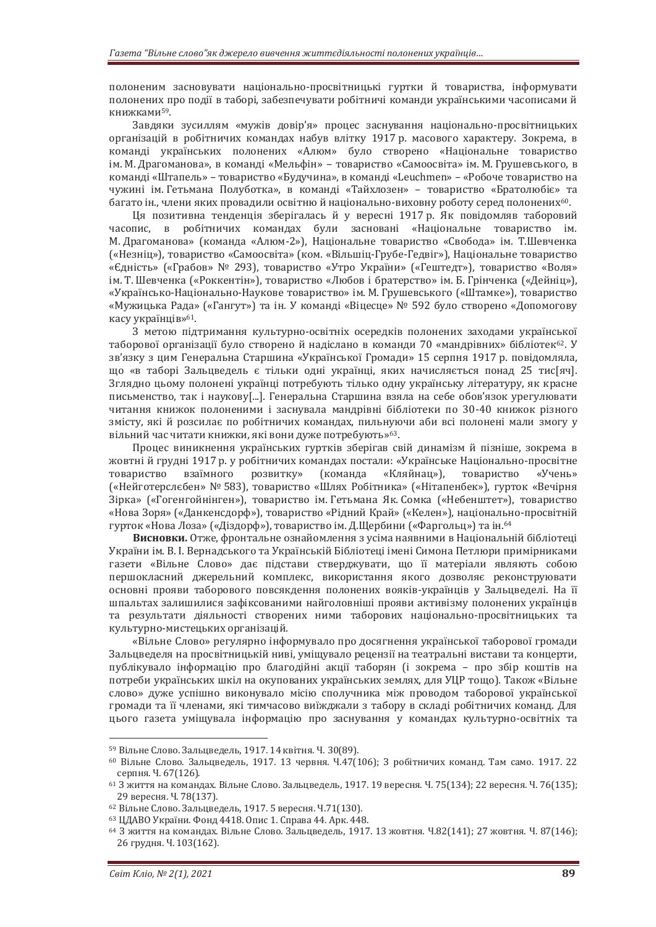полоненим засновувати національно-просвітницькі гуртки й товариства, інформувати полонених про події в таборі, забезпечувати робітничі команди українськими часописами й книжками59.

Завдяки зусиллям «мужів довір'я» процес заснування національно-просвітницьких організацій в робітничих командах набув влітку 1917 р. масового характеру. Зокрема, в команді українських полонених «Алюм» було створено «Національне товариство ім. М. Драгоманова», в команді «Мельфін» – товариство «Самоосвіта» ім. М. Грушевського, в команді «Штапель» – товариство «Будучина», в команді «Leuchmen» – «Робоче товариство на чужині ім. Гетьмана Полуботка», в команді «Тайхлозен» – товариство «Братолюбіє» та багато ін., члени яких провадили освітню й національно-виховну роботу серед полонених60.

Ця позитивна тенденція зберігалась й у вересні 1917 р. Як повідомляв таборовий часопис, в робітничих командах були засновані «Національне товариство ім. М. Драгоманова» (команда «Алюм-2»), Національне товариство «Свобода» ім. Т.Шевченка («Незніц»), товариство «Самоосвіта» (ком. «Вільшіц-Грубе-Гедвіг»), Національне товариство «Єдність» («Грабов» № 293), товариство «Утро України» («Гештедт»), товариство «Воля» ім. Т. Шевченка («Роккентін»), товариство «Любов і братерство» ім. Б. Грінченка («Дейніц»), «Українсько-Національно-Наукове товариство» ім. М. Грушевського («Штамке»), товариство «Мужицька Рада» («Гангут») та ін. У команді «Віцесце» № 592 було створено «Допомогову касу українців»61.

З метою підтримання культурно-освітніх осередків полонених заходами української таборової організації було створено й надіслано в команди 70 «мандрівних» бібліотек<sup>62</sup>. У зв'язку з цим Генеральна Старшина «Української Громади» 15 серпня 1917 р. повідомляла, що «в таборі Зальцведель є тільки одні українці, яких начисляється понад 25 тис[яч]. Зглядно цьому полонені українці потребують тілько одну українську літературу, як красне письменство, так і наукову[...]. Генеральна Старшина взяла на себе обов'язок урегулювати читання книжок полоненими і заснувала мандрівні бібліотеки по 30-40 книжок різного змісту, які й розсилає по робітничих командах, пильнуючи аби всі полонені мали змогу у вільний час читати книжки, які вони дуже потребують»63.

Процес виникнення українських гуртків зберігав свій динамізм й пізніше, зокрема в жовтні й грудні 1917 р. у робітничих командах постали: «Українське Національно-просвітне товариство взаїмного розвитку» (команда «Кляйнац»), товариство «Учень» («Нейготерслєбен» № 583), товариство «Шлях Робітника» («Нітапенбек»), гурток «Вечірня Зірка» («Гогенгойнінген»), товариство ім. Гетьмана Як. Сомка («Небенштет»), товариство «Нова Зоря» («Данкенсдорф»), товариство «Рідний Край» («Келен»), національно-просвітній гурток «Нова Лоза» («Діздорф»), товариство ім. Д.Щербини («Фаргольц») та ін. 64

**Висновки.** Отже, фронтальне ознайомлення з усіма наявними в Національній бібліотеці України ім. В. І. Вернадського та Українській Бібліотеці імені Симона Петлюри примірниками газети «Вільне Слово» дає підстави стверджувати, що її матеріали являють собою першокласний джерельний комплекс, використання якого дозволяє реконструювати основні прояви таборового повсякдення полонених вояків-українців у Зальцведелі. На її шпальтах залишилися зафіксованими найголовніші прояви активізму полонених українців та результати діяльності створених ними таборових національно-просвітницьких та культурно-мистецьких організацій.

«Вільне Слово» регулярно інформувало про досягнення української таборової громади Зальцведеля на просвітницькій ниві, уміщувало рецензії на театральні вистави та концерти, публікувало інформацію про благодійні акції таборян (і зокрема – про збір коштів на потреби українських шкіл на окупованих українських землях, для УЦР тощо). Також «Вільне слово» дуже успішно виконувало місію сполучника між проводом таборової української громади та її членами, які тимчасово виїжджали з табору в складі робітничих команд. Для цього газета уміщувала інформацію про заснування у командах культурно-освітніх та

<sup>&</sup>lt;sup>59</sup> Вільне Слово. Зальцведель, 1917. 14 квітня. Ч. 30(89).<br><sup>60</sup> Вільне Слово. Зальцведель, 1917. 13 червня. Ч.47(106); З робітничих команд. Там само. 1917. 22 серпня. Ч. 67(126).<br><sup>61</sup> З життя на командах. Вільне Слово. Зальцведель, 1917. 19 вересня. Ч. 75(134); 22 вересня. Ч. 76(135);

<sup>29</sup>вересня. Ч. 78(137). 62 Вільне Слово. Зальцведель, 1917. 5 вересня. Ч.71(130).

<sup>63</sup> ЦДАВО України. Фонд 4418. Опис 1. Справа 44. Арк. 448.

<sup>64</sup> З життя на командах. Вільне Слово. Зальцведель, 1917. 13 жовтня. Ч.82(141); 27 жовтня. Ч. 87(146); 26 грудня. Ч. 103(162).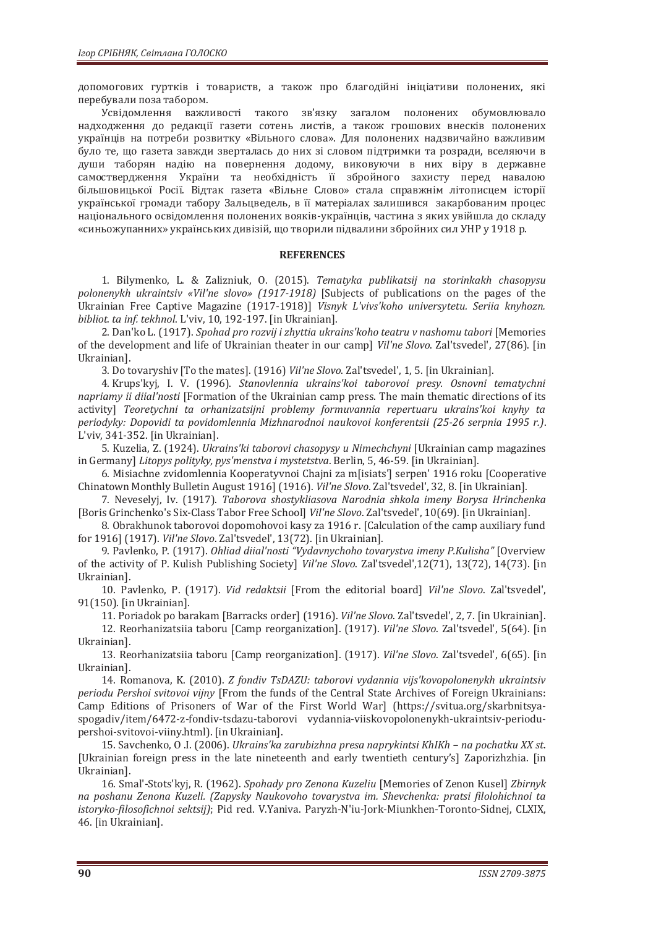допомогових гуртків і товариств, а також про благодійні ініціативи полонених, які перебували поза табором.

Усвідомлення важливості такого зв'язку загалом полонених обумовлювало надходження до редакції газети сотень листів, а також грошових внесків полонених українців на потреби розвитку «Вільного слова». Для полонених надзвичайно важливим було те, що газета завжди зверталась до них зі словом підтримки та розради, вселяючи в души таборян надію на повернення додому, виковуючи в них віру в державне самоствердження України та необхідність її збройного захисту перед навалою більшовицької Росії. Відтак газета «Вільне Слово» стала справжнім літописцем історії української громади табору Зальцведель, в її матеріалах залишився закарбованим процес національного освідомлення полонених вояків-українців, частина з яких увійшла до складу «синьожупанних» українських дивізій, що творили підвалини збройних сил УНР у 1918 р.

#### **REFERENCES**

1. Bilymenko, L. & Zalizniuk, O. (2015). *Tematyka publikatsij na storinkakh chasopysu polonenykh ukraintsiv «Vil'ne slovo» (1917-1918)* [Subjects of publications on the pages of the Ukrainian Free Captive Magazine (1917-1918)] *Visnyk L'vivs'koho universytetu. Seriia knyhozn. bibliot. ta inf. tekhnol*. L'viv, 10, 192-197. [in Ukrainian].

2. Dan'ko L. (1917). *Spohad pro rozvij i zhyttia ukrains'koho teatru v nashomu tabori* [Memories of the development and life of Ukrainian theater in our camp] *Vil'ne Slovo*. Zal'tsvedel', 27(86). [in Ukrainian].

3. Do tovaryshiv [To the mates]. (1916) *Vil'ne Slovo*. Zal'tsvedel', 1, 5. [in Ukrainian].

4. Krups'kyj, I. V. (1996). *Stanovlennia ukrains'koi taborovoi presy. Osnovni tematychni napriamy ii diial'nosti* [Formation of the Ukrainian camp press. The main thematic directions of its activity] *Teoretychni ta orhanizatsijni problemy formuvannia repertuaru ukrains'koi knyhy ta periodyky: Dopovidi ta povidomlennia Mizhnarodnoi naukovoi konferentsii (25-26 serpnia 1995 r.)*. L'viv, 341-352. [in Ukrainian].

5. Kuzelia, Z. (1924). *Ukrains'ki taborovi chasopysy u Nimechchyni* [Ukrainian camp magazines in Germany] *Litopys polityky, pys'menstva i mystetstva*. Berlin, 5, 46-59. [in Ukrainian].

6. Misiachne zvidomlennia Kooperatyvnoi Chajni za m[isiats'] serpen' 1916 roku [Cooperative Chinatown Monthly Bulletin August 1916] (1916). *Vil'ne Slovo*. Zal'tsvedel', 32, 8. [in Ukrainian].

7. Neveselyj, Iv. (1917). *Taborova shostykliasova Narodnia shkola imeny Borysa Hrinchenka* [Boris Grinchenko's Six-Class Tabor Free School] *Vil'ne Slovo*. Zal'tsvedel', 10(69). [in Ukrainian].

8. Obrakhunok taborovoi dopomohovoi kasy za 1916 r. [Calculation of the camp auxiliary fund for 1916] (1917). *Vil'ne Slovo*. Zal'tsvedel', 13(72). [in Ukrainian].

9. Pavlenko, P. (1917). *Ohliad diial'nosti "Vydavnychoho tovarystva imeny P.Kulisha"* [Overview of the activity of P. Kulish Publishing Society] *Vil'ne Slovo*. Zal'tsvedel',12(71), 13(72), 14(73). [in Ukrainian].

10. Pavlenko, P. (1917). *Vid redaktsii* [From the editorial board] *Vil'ne Slovo*. Zal'tsvedel', 91(150). [in Ukrainian].

11. Poriadok po barakam [Barracks order] (1916). *Vil'ne Slovo*. Zal'tsvedel', 2, 7. [in Ukrainian].

12. Reorhanizatsiia taboru [Camp reorganization]. (1917). *Vil'ne Slovo*. Zal'tsvedel', 5(64). [in Ukrainian].

13. Reorhanizatsiia taboru [Camp reorganization]. (1917). *Vil'ne Slovo*. Zal'tsvedel', 6(65). [in Ukrainian].

14. Romanova, K. (2010). *Z fondiv TsDAZU: taborovi vydannia vijs'kovopolonenykh ukraintsiv periodu Pershoi svitovoi vijny* [From the funds of the Central State Archives of Foreign Ukrainians: Camp Editions of Prisoners of War of the First World War] (https://svitua.org/skarbnitsyaspogadiv/item/6472-z-fondiv-tsdazu-taborovi vydannia-viiskovopolonenykh-ukraintsiv-periodupershoi-svitovoi-viiny.html). [in Ukrainian].

15. Savchenko, O .I. (2006). *Ukrains'ka zarubizhna presa naprykintsi KhIKh – na pochatku ХХ st*. [Ukrainian foreign press in the late nineteenth and early twentieth century's] Zaporizhzhia. [in Ukrainian].

16. Smal'-Stots'kyj, R. (1962). *Spohady pro Zenona Kuzeliu* [Memories of Zenon Kusel] *Zbirnyk na poshanu Zenona Kuzeli. (Zapysky Naukovoho tovarystva im. Shevchenka: pratsi filolohichnoi ta istoryko-filosofichnoi sektsij)*; Pid red. V.Yaniva. Paryzh-N'iu-Jork-Miunkhen-Toronto-Sidnej, СLХІХ, 46. [in Ukrainian].